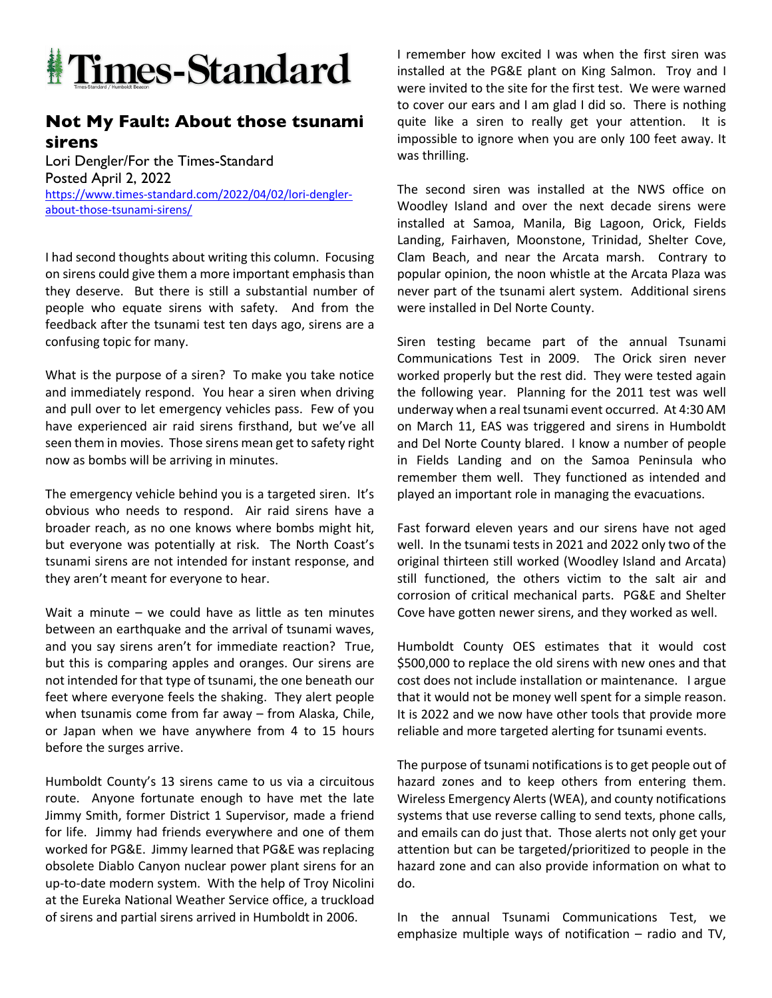

## **Not My Fault: About those tsunami sirens**

Lori Dengler/For the Times-Standard Posted April 2, 2022 https://www.times-standard.com/2022/04/02/lori-denglerabout-those-tsunami-sirens/

I had second thoughts about writing this column. Focusing on sirens could give them a more important emphasis than they deserve. But there is still a substantial number of people who equate sirens with safety. And from the feedback after the tsunami test ten days ago, sirens are a confusing topic for many.

What is the purpose of a siren? To make you take notice and immediately respond. You hear a siren when driving and pull over to let emergency vehicles pass. Few of you have experienced air raid sirens firsthand, but we've all seen them in movies. Those sirens mean get to safety right now as bombs will be arriving in minutes.

The emergency vehicle behind you is a targeted siren. It's obvious who needs to respond. Air raid sirens have a broader reach, as no one knows where bombs might hit, but everyone was potentially at risk. The North Coast's tsunami sirens are not intended for instant response, and they aren't meant for everyone to hear.

Wait a minute – we could have as little as ten minutes between an earthquake and the arrival of tsunami waves, and you say sirens aren't for immediate reaction? True, but this is comparing apples and oranges. Our sirens are not intended for that type of tsunami, the one beneath our feet where everyone feels the shaking. They alert people when tsunamis come from far away – from Alaska, Chile, or Japan when we have anywhere from 4 to 15 hours before the surges arrive.

Humboldt County's 13 sirens came to us via a circuitous route. Anyone fortunate enough to have met the late Jimmy Smith, former District 1 Supervisor, made a friend for life. Jimmy had friends everywhere and one of them worked for PG&E. Jimmy learned that PG&E was replacing obsolete Diablo Canyon nuclear power plant sirens for an up-to-date modern system. With the help of Troy Nicolini at the Eureka National Weather Service office, a truckload of sirens and partial sirens arrived in Humboldt in 2006.

I remember how excited I was when the first siren was installed at the PG&E plant on King Salmon. Troy and I were invited to the site for the first test. We were warned to cover our ears and I am glad I did so. There is nothing quite like a siren to really get your attention. It is impossible to ignore when you are only 100 feet away. It was thrilling.

The second siren was installed at the NWS office on Woodley Island and over the next decade sirens were installed at Samoa, Manila, Big Lagoon, Orick, Fields Landing, Fairhaven, Moonstone, Trinidad, Shelter Cove, Clam Beach, and near the Arcata marsh. Contrary to popular opinion, the noon whistle at the Arcata Plaza was never part of the tsunami alert system. Additional sirens were installed in Del Norte County.

Siren testing became part of the annual Tsunami Communications Test in 2009. The Orick siren never worked properly but the rest did. They were tested again the following year. Planning for the 2011 test was well underway when a real tsunami event occurred. At 4:30 AM on March 11, EAS was triggered and sirens in Humboldt and Del Norte County blared. I know a number of people in Fields Landing and on the Samoa Peninsula who remember them well. They functioned as intended and played an important role in managing the evacuations.

Fast forward eleven years and our sirens have not aged well. In the tsunami tests in 2021 and 2022 only two of the original thirteen still worked (Woodley Island and Arcata) still functioned, the others victim to the salt air and corrosion of critical mechanical parts. PG&E and Shelter Cove have gotten newer sirens, and they worked as well.

Humboldt County OES estimates that it would cost \$500,000 to replace the old sirens with new ones and that cost does not include installation or maintenance. I argue that it would not be money well spent for a simple reason. It is 2022 and we now have other tools that provide more reliable and more targeted alerting for tsunami events.

The purpose of tsunami notifications is to get people out of hazard zones and to keep others from entering them. Wireless Emergency Alerts (WEA), and county notifications systems that use reverse calling to send texts, phone calls, and emails can do just that. Those alerts not only get your attention but can be targeted/prioritized to people in the hazard zone and can also provide information on what to do.

In the annual Tsunami Communications Test, we emphasize multiple ways of notification – radio and TV,